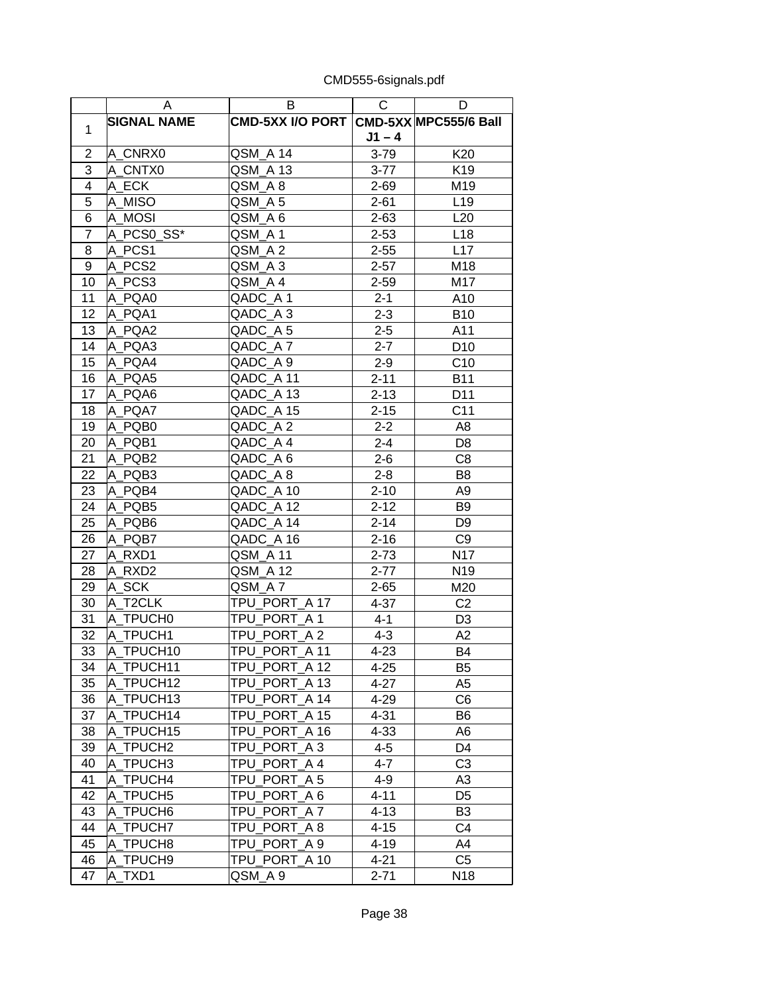|                  | A                  | B                                      | $\mathsf{C}$ | D               |
|------------------|--------------------|----------------------------------------|--------------|-----------------|
|                  | <b>SIGNAL NAME</b> | CMD-5XX I/O PORT CMD-5XX MPC555/6 Ball |              |                 |
| 1                |                    |                                        | $J1 - 4$     |                 |
| $\overline{2}$   | A_CNRX0            | QSM_A 14                               | $3 - 79$     | K20             |
| 3                | A CNTX0            | QSM A 13                               | $3 - 77$     | K19             |
| $\overline{4}$   | A_ECK              | QSM_A 8                                | $2 - 69$     | M19             |
| $\overline{5}$   | A MISO             | QSM_A 5                                | $2 - 61$     | L <sub>19</sub> |
| $6\overline{6}$  | A MOSI             | QSM_A 6                                | $2 - 63$     | L20             |
| $\overline{7}$   | A PCS0 SS*         | QSM A1                                 | $2 - 53$     | L <sub>18</sub> |
| 8                | A PCS1             | QSM A 2                                | $2 - 55$     | L17             |
| $\boldsymbol{9}$ | A PCS2             | QSM A3                                 | $2 - 57$     | M18             |
| 10               | A PCS3             | QSM_A4                                 | $2 - 59$     | M17             |
| 11               | A PQA0             | QADC_A 1                               | $2 - 1$      | A10             |
| 12               | A PQA1             | QADC_A3                                | $2 - 3$      | <b>B10</b>      |
| 13               | A PQA2             | QADC_A 5                               | $2 - 5$      | A11             |
| 14               | A PQA3             | QADC A7                                | $2 - 7$      | D <sub>10</sub> |
| 15               | A PQA4             | QADC A 9                               | $2 - 9$      | C <sub>10</sub> |
| 16               | A PQA5             | QADC_A 11                              | $2 - 11$     | <b>B11</b>      |
| 17               | A PQA6             | QADC_A 13                              | $2 - 13$     | D11             |
| 18               | A_PQA7             | QADC_A 15                              | $2 - 15$     | C <sub>11</sub> |
| 19               | A PQB0             | QADC_A2                                | $2 - 2$      | A8              |
| 20               | A_PQB1             | QADC_A 4                               | $2 - 4$      | D <sub>8</sub>  |
| 21               | A PQB2             | QADC_A 6                               | $2 - 6$      | C <sub>8</sub>  |
| 22               | A PQB3             | QADC_A8                                | $2 - 8$      | B <sub>8</sub>  |
| 23               | A PQB4             | QADC_A 10                              | $2 - 10$     | A <sub>9</sub>  |
| 24               | A_PQB5             | QADC_A 12                              | $2 - 12$     | B <sub>9</sub>  |
| 25               | A PQB6             | QADC A 14                              | $2 - 14$     | D <sub>9</sub>  |
| 26               | A_PQB7             | QADC_A 16                              | $2 - 16$     | C <sub>9</sub>  |
| 27               | A_RXD1             | QSM_A 11                               | $2 - 73$     | N17             |
| 28               | A RXD2             | QSM A 12                               | $2 - 77$     | N <sub>19</sub> |
| 29               | A SCK              | QSM A7                                 | $2 - 65$     | M20             |
| 30               | A T2CLK            | TPU PORT A 17                          | $4 - 37$     | C <sub>2</sub>  |
| 31               | A TPUCH0           | TPU PORT A 1                           | $4 - 1$      | D <sub>3</sub>  |
| 32               | A TPUCH1           | TPU_PORT_A2                            | $4 - 3$      | A2              |
| 33               | A TPUCH10          | TPU PORT A 11                          | $4 - 23$     | <b>B4</b>       |
| 34               | A_TPUCH11          | TPU_PORT_A 12                          | $4 - 25$     | B5              |
| 35               | A_TPUCH12          | TPU_PORT_A 13                          | $4 - 27$     | A <sub>5</sub>  |
| 36               | A TPUCH13          | TPU PORT A 14                          | 4-29         | C <sub>6</sub>  |
| 37               | A TPUCH14          | TPU PORT A 15                          | $4 - 31$     | B6              |
| 38               | A_TPUCH15          | TPU PORT A 16                          | $4 - 33$     | A <sub>6</sub>  |
| 39               | A_TPUCH2           | TPU_PORT_A 3                           | $4 - 5$      | D4              |
| 40               | A TPUCH3           | TPU PORT A 4                           | $4 - 7$      | C <sub>3</sub>  |
| 41               | A TPUCH4           | TPU_PORT_A 5                           | $4 - 9$      | A <sub>3</sub>  |
| 42               | A_TPUCH5           | TPU_PORT_A 6                           | $4 - 11$     | D <sub>5</sub>  |
| 43               | A TPUCH6           | TPU PORT A 7                           | $4 - 13$     | B3              |
| 44               | A TPUCH7           | TPU PORT A 8                           | $4 - 15$     | C4              |
| 45               | A TPUCH8           | TPU PORT A 9                           | $4 - 19$     | A4              |
| 46               | A TPUCH9           | TPU PORT A 10                          | $4 - 21$     | C <sub>5</sub>  |
| 47               | A TXD1             | QSM_A 9                                | $2 - 71$     | N <sub>18</sub> |

CMD555-6signals.pdf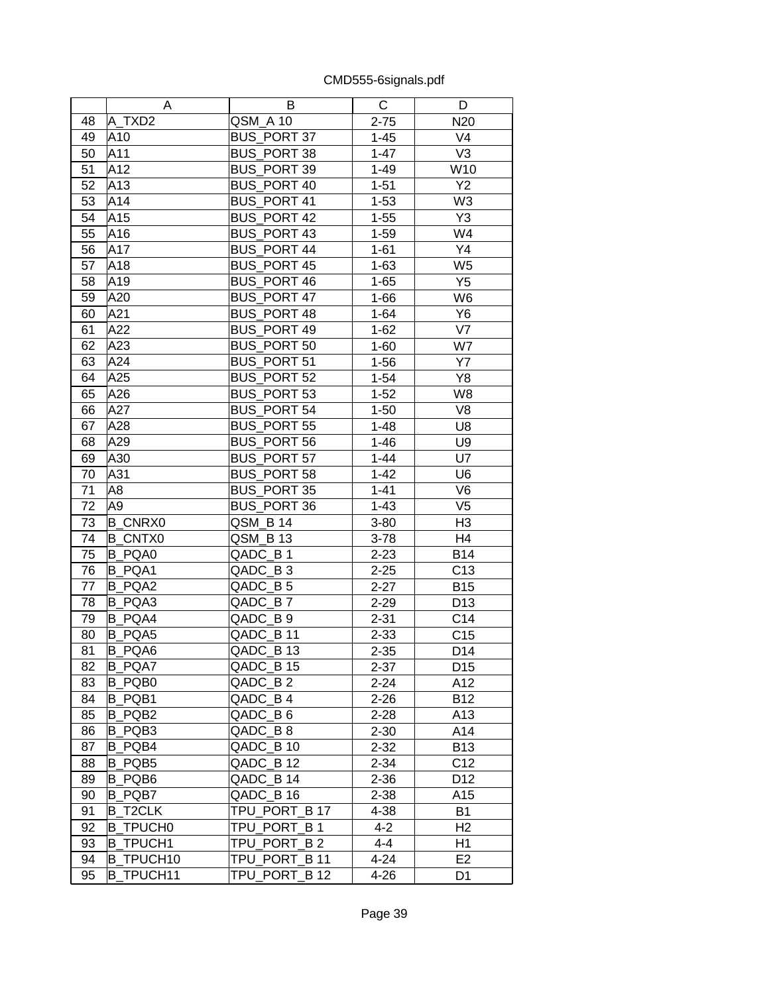|    | A                | В                  | С        | D               |
|----|------------------|--------------------|----------|-----------------|
| 48 | A TXD2           | QSM A 10           | $2 - 75$ | N20             |
| 49 | A10              | <b>BUS_PORT 37</b> | $1 - 45$ | V <sub>4</sub>  |
| 50 | A11              | <b>BUS PORT 38</b> | $1 - 47$ | V <sub>3</sub>  |
| 51 | A12              | BUS_PORT 39        | $1 - 49$ | W10             |
| 52 | A13              | <b>BUS PORT 40</b> | $1 - 51$ | Y2              |
| 53 | A14              | <b>BUS PORT 41</b> | $1 - 53$ | W <sub>3</sub>  |
| 54 | A15              | <b>BUS PORT 42</b> | $1 - 55$ | Y3              |
| 55 | A16              | <b>BUS PORT 43</b> | $1 - 59$ | W4              |
| 56 | A17              | <b>BUS PORT 44</b> | $1 - 61$ | Y4              |
| 57 | A18              | <b>BUS_PORT 45</b> | $1 - 63$ | W <sub>5</sub>  |
| 58 | A19              | <b>BUS PORT 46</b> | $1 - 65$ | Y <sub>5</sub>  |
| 59 | A20              | <b>BUS PORT 47</b> | $1 - 66$ | W <sub>6</sub>  |
| 60 | A21              | BUS_PORT 48        | $1 - 64$ | Y <sub>6</sub>  |
| 61 | A22              | <b>BUS PORT 49</b> | $1 - 62$ | V7              |
| 62 | A23              | BUS_PORT 50        | $1 - 60$ | W7              |
| 63 | A24              | BUS_PORT 51        | $1 - 56$ | <b>Y7</b>       |
| 64 | A25              | BUS_PORT 52        | $1 - 54$ | Y8              |
| 65 | A26              | <b>BUS PORT 53</b> | $1 - 52$ | W8              |
| 66 | A27              | <b>BUS PORT 54</b> | $1 - 50$ | V <sub>8</sub>  |
| 67 | A28              | <b>BUS_PORT 55</b> | $1 - 48$ | U8              |
| 68 | A29              | <b>BUS_PORT 56</b> | $1 - 46$ | U9              |
| 69 | A30              | <b>BUS_PORT 57</b> | $1 - 44$ | U7              |
| 70 | A31              | <b>BUS PORT 58</b> | $1 - 42$ | U <sub>6</sub>  |
| 71 | A8               | <b>BUS PORT 35</b> | $1 - 41$ | V <sub>6</sub>  |
| 72 | A <sub>9</sub>   | BUS_PORT 36        | $1 - 43$ | V <sub>5</sub>  |
| 73 | <b>B CNRX0</b>   | QSM_B 14           | $3 - 80$ | H <sub>3</sub>  |
| 74 | <b>B_CNTX0</b>   | QSM_B 13           | $3 - 78$ | H <sub>4</sub>  |
| 75 | <b>B_PQA0</b>    | QADC_B1            | $2 - 23$ | <b>B14</b>      |
| 76 | B PQA1           | QADC B3            | $2 - 25$ | C13             |
| 77 | B PQA2           | QADC B5            | $2 - 27$ | <b>B15</b>      |
| 78 | B PQA3           | QADC_B7            | $2 - 29$ | D <sub>13</sub> |
| 79 | B PQA4           | QADC B 9           | $2 - 31$ | C14             |
| 80 | B_PQA5           | QADC B 11          | $2 - 33$ | C <sub>15</sub> |
| 81 | B PQA6           | QADC B 13          | $2 - 35$ | D <sub>14</sub> |
| 82 | B_PQA7           | QADC_B 15          | $2 - 37$ | D <sub>15</sub> |
| 83 | B_PQB0           | QADC_B2            | $2 - 24$ | A12             |
| 84 | B_PQB1           | QADC B4            | $2 - 26$ | <b>B12</b>      |
| 85 | B_PQB2           | QADC_B6            | $2 - 28$ | A13             |
| 86 | B PQB3           | QADC_B8            | $2 - 30$ | A14             |
| 87 | B PQB4           | QADC B 10          | $2 - 32$ | <b>B13</b>      |
| 88 | B_PQB5           | QADC B 12          | $2 - 34$ | C <sub>12</sub> |
| 89 | B_PQB6           | QADC_B 14          | $2 - 36$ | D12             |
| 90 | B_PQB7           | QADC B 16          | $2 - 38$ | A15             |
| 91 | <b>B_T2CLK</b>   | TPU PORT_B 17      | 4-38     | B1              |
| 92 | <b>B TPUCH0</b>  | TPU PORT B1        | $4 - 2$  | H <sub>2</sub>  |
| 93 | <b>B TPUCH1</b>  | TPU PORT B 2       | $4 - 4$  | H1              |
| 94 | <b>B TPUCH10</b> | TPU PORT B 11      | $4 - 24$ | E <sub>2</sub>  |
| 95 | <b>B_TPUCH11</b> | TPU_PORT_B 12      | 4-26     | D <sub>1</sub>  |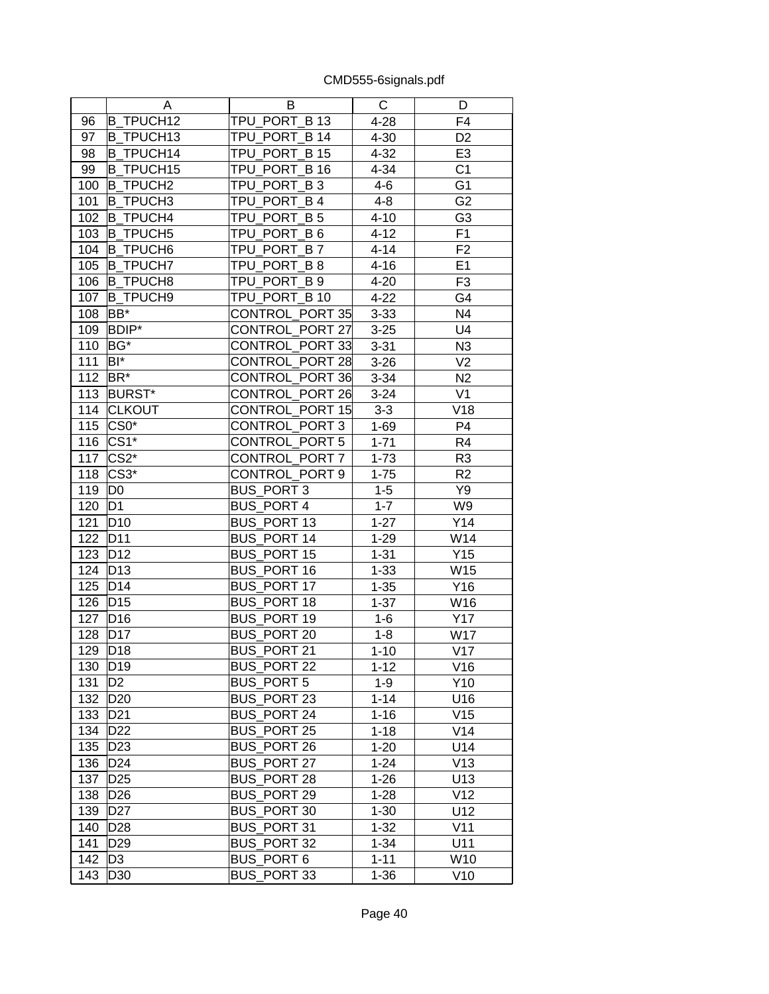|     | Α                | В                      | С        | D              |
|-----|------------------|------------------------|----------|----------------|
| 96  | <b>B TPUCH12</b> | TPU_PORT_B 13          | $4 - 28$ | F4             |
| 97  | <b>B TPUCH13</b> | TPU PORT B 14          | $4 - 30$ | D <sub>2</sub> |
| 98  | <b>B_TPUCH14</b> | TPU_PORT_B 15          | $4 - 32$ | E <sub>3</sub> |
| 99  | <b>B TPUCH15</b> | TPU_PORT_B 16          | $4 - 34$ | C <sub>1</sub> |
| 100 | <b>B_TPUCH2</b>  | TPU_PORT_B 3           | $4 - 6$  | G <sub>1</sub> |
| 101 | <b>B TPUCH3</b>  | TPU_PORT_B4            | $4 - 8$  | G <sub>2</sub> |
| 102 | <b>B TPUCH4</b>  | TPU PORT B 5           | $4 - 10$ | G <sub>3</sub> |
| 103 | <b>B TPUCH5</b>  | TPU_PORT_B 6           | $4 - 12$ | F1             |
| 104 | <b>B TPUCH6</b>  | TPU PORT B7            | $4 - 14$ | F <sub>2</sub> |
| 105 | <b>B_TPUCH7</b>  | TPU_PORT_B8            | $4 - 16$ | E1             |
| 106 | <b>B_TPUCH8</b>  | TPU_PORT_B 9           | $4 - 20$ | F <sub>3</sub> |
| 107 | <b>B TPUCH9</b>  | TPU_PORT_B 10          | $4 - 22$ | G4             |
| 108 | BB*              | CONTROL_PORT 35        | $3 - 33$ | N4             |
| 109 | <b>BDIP*</b>     | CONTROL_PORT 27        | $3 - 25$ | U4             |
| 110 | BG*              | CONTROL_PORT 33        | $3 - 31$ | N <sub>3</sub> |
| 111 | BI*              | <b>CONTROL PORT 28</b> | $3 - 26$ | V <sub>2</sub> |
| 112 | BR <sup>*</sup>  | CONTROL_PORT 36        | $3 - 34$ | N2             |
| 113 | <b>BURST*</b>    | <b>CONTROL PORT 26</b> | $3 - 24$ | V <sub>1</sub> |
| 114 | <b>CLKOUT</b>    | CONTROL_PORT 15        | $3-3$    | V18            |
| 115 | $CS0*$           | CONTROL PORT 3         | $1 - 69$ | P <sub>4</sub> |
| 116 | $CS1*$           | CONTROL_PORT 5         | $1 - 71$ | R4             |
| 117 | $CS2*$           | CONTROL_PORT 7         | $1 - 73$ | R <sub>3</sub> |
| 118 | $CS3*$           | CONTROL PORT 9         | $1 - 75$ | R <sub>2</sub> |
| 119 | D <sub>0</sub>   | BUS_PORT 3             | $1 - 5$  | Y9             |
| 120 | D <sub>1</sub>   | <b>BUS PORT 4</b>      | $1 - 7$  | W9             |
| 121 | D <sub>10</sub>  | BUS_PORT 13            | $1 - 27$ | Y14            |
| 122 | D11              | BUS_PORT 14            | $1 - 29$ | W14            |
| 123 | D <sub>12</sub>  | <b>BUS_PORT 15</b>     | $1 - 31$ | Y15            |
| 124 | D <sub>13</sub>  | <b>BUS PORT 16</b>     | $1 - 33$ | W15            |
| 125 | D <sub>14</sub>  | BUS_PORT 17            | $1 - 35$ | Y16            |
| 126 | D <sub>15</sub>  | <b>BUS_PORT 18</b>     | $1 - 37$ | W16            |
| 127 | D <sub>16</sub>  | <b>BUS PORT 19</b>     | $1-6$    | Y17            |
| 128 | D <sub>17</sub>  | BUS_PORT 20            | $1 - 8$  | W17            |
| 129 | D <sub>18</sub>  | <b>BUS PORT 21</b>     | $1 - 10$ | V17            |
| 130 | D <sub>19</sub>  | <b>BUS_PORT 22</b>     |          | V16            |
|     |                  | <b>BUS PORT 5</b>      | $1 - 12$ | Y10            |
| 131 | D2               |                        | $1 - 9$  |                |
| 132 | D <sub>20</sub>  | BUS PORT 23            | $1 - 14$ | U16            |
| 133 | D <sub>21</sub>  | <b>BUS PORT 24</b>     | $1 - 16$ | V15            |
| 134 | D <sub>22</sub>  | BUS PORT 25            | $1 - 18$ | V14            |
| 135 | D <sub>23</sub>  | <b>BUS_PORT 26</b>     | $1 - 20$ | U14            |
| 136 | D <sub>24</sub>  | <b>BUS PORT 27</b>     | $1 - 24$ | V13            |
| 137 | D <sub>25</sub>  | <b>BUS_PORT 28</b>     | $1 - 26$ | U13            |
| 138 | D <sub>26</sub>  | <b>BUS PORT 29</b>     | $1 - 28$ | V12            |
| 139 | <b>D27</b>       | BUS PORT 30            | $1 - 30$ | U12            |
| 140 | D <sub>28</sub>  | BUS PORT 31            | $1 - 32$ | V11            |
| 141 | D <sub>29</sub>  | BUS PORT 32            | $1 - 34$ | U11            |
| 142 | D <sub>3</sub>   | BUS_PORT 6             | $1 - 11$ | W10            |
| 143 | D30              | BUS_PORT 33            | $1 - 36$ | V10            |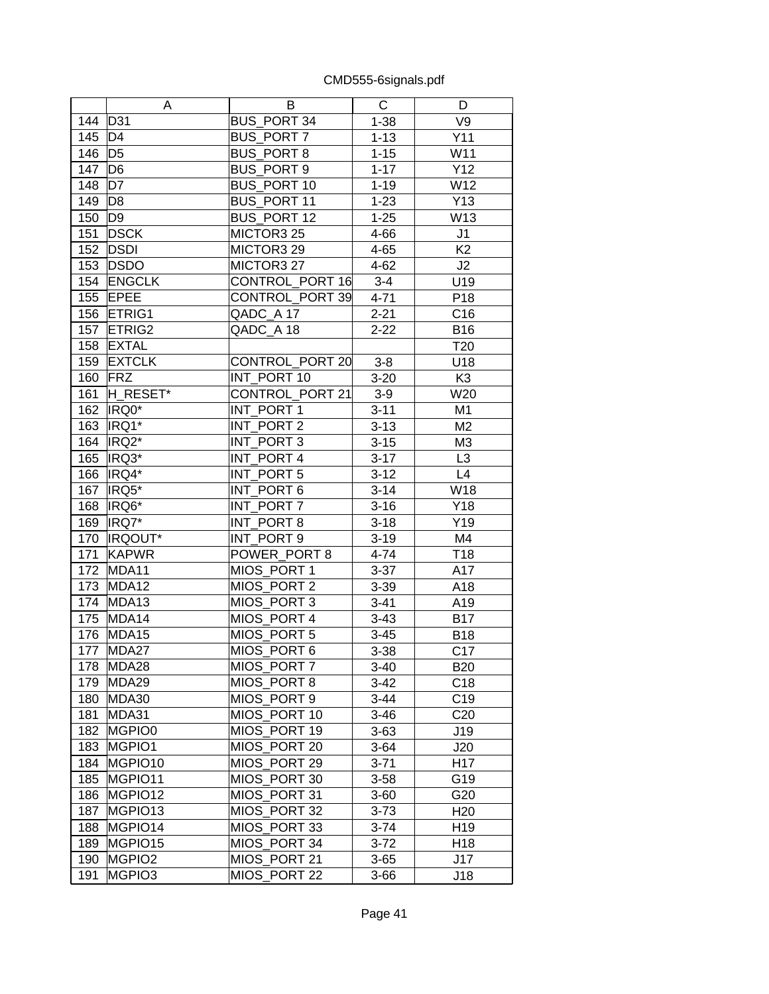|     | A              | B                  | C        | D               |
|-----|----------------|--------------------|----------|-----------------|
| 144 | D31            | <b>BUS PORT 34</b> | $1 - 38$ | V9              |
| 145 | D <sub>4</sub> | <b>BUS PORT 7</b>  | $1 - 13$ | Y11             |
| 146 | D <sub>5</sub> | <b>BUS PORT 8</b>  | $1 - 15$ | W11             |
| 147 | D <sub>6</sub> | BUS_PORT 9         | $1 - 17$ | Y12             |
| 148 | D7             | <b>BUS PORT 10</b> | $1 - 19$ | W12             |
| 149 | D <sub>8</sub> | BUS PORT 11        | $1 - 23$ | Y13             |
| 150 | D <sub>9</sub> | BUS_PORT 12        | $1 - 25$ | W13             |
| 151 | <b>DSCK</b>    | MICTOR3 25         | 4-66     | J1              |
| 152 | <b>DSDI</b>    | MICTOR3 29         | $4 - 65$ | K <sub>2</sub>  |
| 153 | <b>DSDO</b>    | MICTOR3 27         | $4 - 62$ | J2              |
| 154 | <b>ENGCLK</b>  | CONTROL_PORT 16    | $3 - 4$  | U19             |
| 155 | <b>EPEE</b>    | CONTROL PORT 39    | $4 - 71$ | P <sub>18</sub> |
| 156 | ETRIG1         | QADC A 17          | $2 - 21$ | C <sub>16</sub> |
| 157 | ETRIG2         | QADC_A 18          | $2 - 22$ | <b>B16</b>      |
| 158 | <b>EXTAL</b>   |                    |          | T <sub>20</sub> |
| 159 | <b>EXTCLK</b>  | CONTROL_PORT 20    | $3-8$    | U18             |
| 160 | FRZ            | INT PORT 10        | $3 - 20$ | K <sub>3</sub>  |
| 161 | H RESET*       | CONTROL PORT 21    | $3-9$    | W20             |
| 162 | IRQ0*          | INT PORT 1         | $3 - 11$ | M <sub>1</sub>  |
| 163 | IRQ1*          | INT_PORT 2         | $3 - 13$ | M <sub>2</sub>  |
| 164 | IRQ2*          | INT_PORT 3         | $3 - 15$ | M <sub>3</sub>  |
| 165 | IRQ3*          | INT PORT 4         | $3 - 17$ | L <sub>3</sub>  |
| 166 | IRQ4*          | INT_PORT 5         | $3 - 12$ | L4              |
| 167 | IRQ5*          | INT PORT 6         | $3 - 14$ | W18             |
| 168 | IRQ6*          | INT PORT 7         | $3 - 16$ | Y18             |
| 169 | IRQ7*          | INT PORT 8         | $3 - 18$ | Y19             |
| 170 | IRQOUT*        | INT_PORT 9         | $3 - 19$ | M4              |
| 171 | <b>KAPWR</b>   | POWER_PORT 8       | $4 - 74$ | T <sub>18</sub> |
| 172 | MDA11          | MIOS PORT 1        | $3 - 37$ | A17             |
| 173 | MDA12          | MIOS_PORT 2        | $3 - 39$ | A18             |
| 174 | MDA13          | MIOS_PORT 3        | $3 - 41$ | A19             |
| 175 | MDA14          | MIOS PORT 4        | $3 - 43$ | <b>B17</b>      |
| 176 | MDA15          | MIOS PORT 5        | $3 - 45$ | <b>B18</b>      |
| 177 | MDA27          | MIOS_PORT 6        | $3 - 38$ | C17             |
| 178 | MDA28          | MIOS PORT 7        | $3-40$   | <b>B20</b>      |
| 179 | MDA29          | MIOS PORT 8        | $3-42$   | C <sub>18</sub> |
| 180 | MDA30          | MIOS PORT 9        | $3 - 44$ | C <sub>19</sub> |
| 181 | MDA31          | MIOS_PORT 10       | $3 - 46$ | C <sub>20</sub> |
| 182 | MGPIO0         | MIOS_PORT 19       | $3 - 63$ | J19             |
| 183 | MGPIO1         | MIOS_PORT 20       | $3 - 64$ | J20             |
| 184 | MGPIO10        | MIOS PORT 29       | $3 - 71$ | H <sub>17</sub> |
| 185 | MGPIO11        | MIOS PORT 30       | $3 - 58$ | G19             |
| 186 | MGPIO12        | MIOS PORT 31       | $3 - 60$ | G20             |
| 187 | MGPIO13        | MIOS PORT 32       | $3 - 73$ | H <sub>20</sub> |
| 188 | MGPIO14        | MIOS PORT 33       | $3 - 74$ | H <sub>19</sub> |
| 189 | MGPIO15        | MIOS_PORT 34       | $3-72$   | H <sub>18</sub> |
| 190 | MGPIO2         | MIOS PORT 21       | $3 - 65$ | J17             |
| 191 | MGPIO3         | MIOS PORT 22       | $3 - 66$ | J18             |